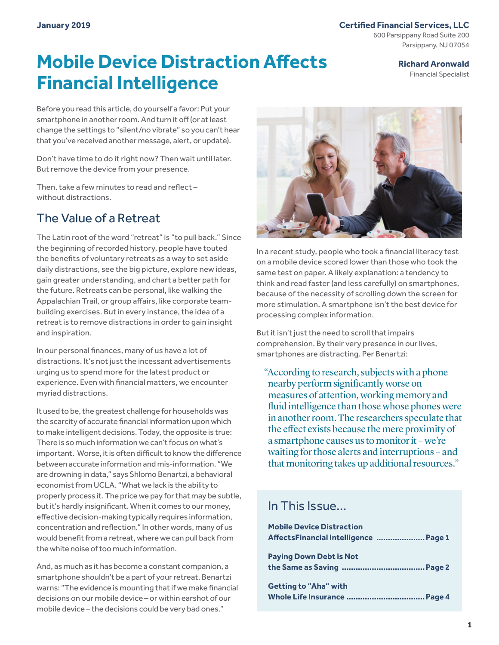#### **Certified Financial Services, LLC**

600 Parsippany Road Suite 200 Parsippany, NJ 07054

# **Mobile Device Distraction Affects Financial Intelligence**

**Richard Aronwald**

Financial Specialist

Before you read this article, do yourself a favor: Put your smartphone in another room. And turn it off (or at least change the settings to "silent/no vibrate" so you can't hear that you've received another message, alert, or update).

Don't have time to do it right now? Then wait until later. But remove the device from your presence.

Then, take a few minutes to read and reflect – without distractions.

# The Value of a Retreat

The Latin root of the word "retreat" is "to pull back." Since the beginning of recorded history, people have touted the benefits of voluntary retreats as a way to set aside daily distractions, see the big picture, explore new ideas, gain greater understanding, and chart a better path for the future. Retreats can be personal, like walking the Appalachian Trail, or group affairs, like corporate teambuilding exercises. But in every instance, the idea of a retreat is to remove distractions in order to gain insight and inspiration.

In our personal finances, many of us have a lot of distractions. It's not just the incessant advertisements urging us to spend more for the latest product or experience. Even with financial matters, we encounter myriad distractions.

It used to be, the greatest challenge for households was the scarcity of accurate financial information upon which to make intelligent decisions. Today, the opposite is true: There is so much information we can't focus on what's important. Worse, it is often difficult to know the difference between accurate information and mis-information. "We are drowning in data," says Shlomo Benartzi, a behavioral economist from UCLA. "What we lack is the ability to properly process it. The price we pay for that may be subtle, but it's hardly insignificant. When it comes to our money, effective decision-making typically requires information, concentration and reflection." In other words, many of us would benefit from a retreat, where we can pull back from the white noise of too much information.

And, as much as it has become a constant companion, a smartphone shouldn't be a part of your retreat. Benartzi warns: "The evidence is mounting that if we make financial decisions on our mobile device – or within earshot of our mobile device – the decisions could be very bad ones."



In a recent study, people who took a financial literacy test on a mobile device scored lower than those who took the same test on paper. A likely explanation: a tendency to think and read faster (and less carefully) on smartphones, because of the necessity of scrolling down the screen for more stimulation. A smartphone isn't the best device for processing complex information.

But it isn't just the need to scroll that impairs comprehension. By their very presence in our lives, smartphones are distracting. Per Benartzi:

"According to research, subjects with a phone nearby perform significantly worse on measures of attention, working memory and fluid intelligence than those whose phones were in another room. The researchers speculate that the effect exists because the mere proximity of a smartphone causes us to monitor it – we're waiting for those alerts and interruptions – and that monitoring takes up additional resources."

### In This Issue…

| <b>Mobile Device Distraction</b>       |  |
|----------------------------------------|--|
| AffectsFinancial Intelligence   Page 1 |  |
| <b>Paying Down Debt is Not</b>         |  |
|                                        |  |
| Getting to "Aha" with                  |  |
|                                        |  |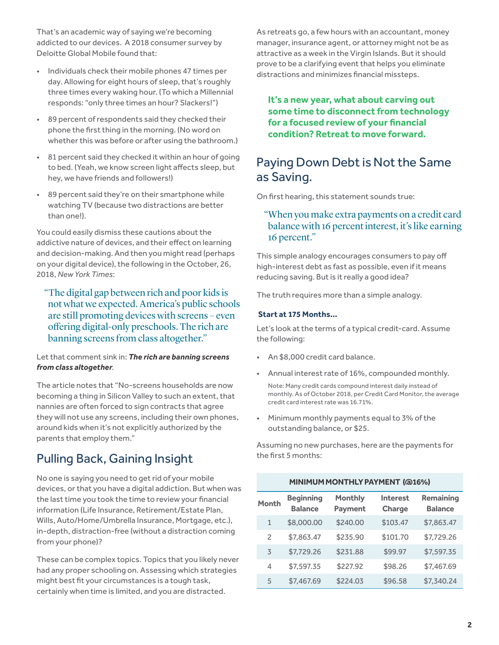That's an academic way of saying we're becoming addicted to our devices. A 2018 consumer survey by Deloitte Global Mobile found that:

- Individuals check their mobile phones 47 times per day. Allowing for eight hours of sleep, that's roughly three times every waking hour. (To which a Millennial responds: "only three times an hour? Slackers!")
- 89 percent of respondents said they checked their phone the first thing in the morning. (No word on whether this was before or after using the bathroom.)
- 81 percent said they checked it within an hour of going to bed. (Yeah, we know screen light affects sleep, but hey, we have friends and followers!)
- 89 percent said they're on their smartphone while watching TV (because two distractions are better than one!).

You could easily dismiss these cautions about the addictive nature of devices, and their effect on learning and decision-making. And then you might read (perhaps on your digital device), the following in the October, 26, 2018, *New York Times*:

"The digital gap between rich and poor kids is not what we expected. America's public schools are still promoting devices with screens – even offering digital-only preschools. The rich are banning screens from class altogether."

#### Let that comment sink in: *The rich are banning screens from class altogether*.

The article notes that "No-screens households are now becoming a thing in Silicon Valley to such an extent, that nannies are often forced to sign contracts that agree they will not use any screens, including their own phones, around kids when it's not explicitly authorized by the parents that employ them."

# Pulling Back, Gaining Insight

No one is saying you need to get rid of your mobile devices, or that you have a digital addiction. But when was the last time you took the time to review your financial information (Life Insurance, Retirement/Estate Plan, Wills, Auto/Home/Umbrella Insurance, Mortgage, etc.), in-depth, distraction-free (without a distraction coming from your phone)?

These can be complex topics. Topics that you likely never had any proper schooling on. Assessing which strategies might best fit your circumstances is a tough task, certainly when time is limited, and you are distracted.

As retreats go, a few hours with an accountant, money manager, insurance agent, or attorney might not be as attractive as a week in the Virgin Islands. But it should prove to be a clarifying event that helps you eliminate distractions and minimizes financial missteps.

**It's a new year, what about carving out some time to disconnect from technology for a focused review of your financial condition? Retreat to move forward.**

## Paying Down Debt is Not the Same as Saving.

On first hearing, this statement sounds true:

### "When you make extra payments on a credit card balance with 16 percent interest, it's like earning 16 percent."

This simple analogy encourages consumers to pay off high-interest debt as fast as possible, even if it means reducing saving. But is it really a good idea?

The truth requires more than a simple analogy.

#### **Start at 175 Months…**

Let's look at the terms of a typical credit-card. Assume the following:

- An \$8,000 credit card balance.
- Annual interest rate of 16%, compounded monthly. Note: Many credit cards compound interest daily instead of monthly. As of October 2018, per Credit Card Monitor, the average credit card interest rate was 16.71%.
- Minimum monthly payments equal to 3% of the outstanding balance, or \$25.

Assuming no new purchases, here are the payments for the first 5 months:

| MINIMUM MONTHLY PAYMENT (@16%) |                                    |                                  |                           |                                    |
|--------------------------------|------------------------------------|----------------------------------|---------------------------|------------------------------------|
| <b>Month</b>                   | <b>Beginning</b><br><b>Balance</b> | <b>Monthly</b><br><b>Payment</b> | <b>Interest</b><br>Charge | <b>Remaining</b><br><b>Balance</b> |
| $\mathbf{1}$                   | \$8,000.00                         | \$240.00                         | \$103.47                  | \$7,863.47                         |
| $\overline{\phantom{0}}$       | \$7,863.47                         | \$235.90                         | \$101.70                  | \$7,729.26                         |
| 3                              | \$7,729.26                         | \$231.88                         | \$99.97                   | \$7,597.35                         |
| 4                              | \$7,597.35                         | \$227.92                         | \$98.26                   | \$7,467.69                         |
| 5                              | \$7,467.69                         | \$224.03                         | \$96.58                   | \$7,340.24                         |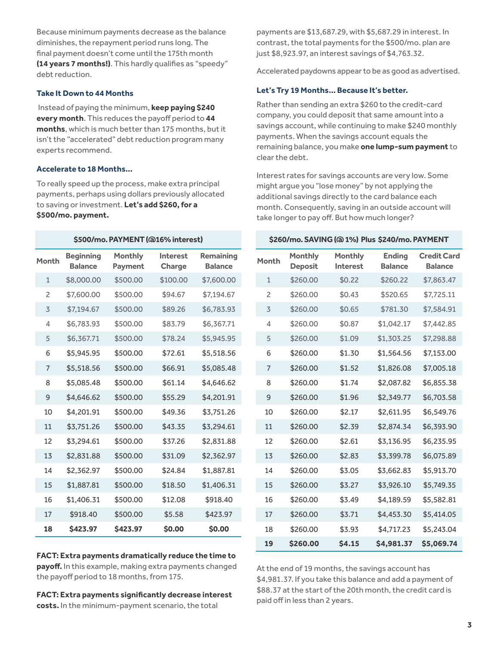Because minimum payments decrease as the balance diminishes, the repayment period runs long. The final payment doesn't come until the 175th month **(14 years 7 months!)**. This hardly qualifies as "speedy" debt reduction.

#### **Take It Down to 44 Months**

 Instead of paying the minimum, **keep paying \$240 every month**. This reduces the payoff period to **44 months**, which is much better than 175 months, but it isn't the "accelerated" debt reduction program many experts recommend.

#### **Accelerate to 18 Months…**

To really speed up the process, make extra principal payments, perhaps using dollars previously allocated to saving or investment. **Let's add \$260, for a \$500/mo. payment.** 

| \$500/mo. PAYMENT (@16% interest) |                                    |                                  |                                  |                                    |
|-----------------------------------|------------------------------------|----------------------------------|----------------------------------|------------------------------------|
| Month                             | <b>Beginning</b><br><b>Balance</b> | <b>Monthly</b><br><b>Payment</b> | <b>Interest</b><br><b>Charge</b> | <b>Remaining</b><br><b>Balance</b> |
| $\mathbf{1}$                      | \$8,000.00                         | \$500.00                         | \$100.00                         | \$7,600.00                         |
| $\overline{c}$                    | \$7,600.00                         | \$500.00                         | \$94.67                          | \$7.194.67                         |
| 3                                 | \$7,194.67                         | \$500.00                         | \$89.26                          | \$6,783.93                         |
| 4                                 | \$6,783.93                         | \$500.00                         | \$83.79                          | \$6,367.71                         |
| 5                                 | \$6,367.71                         | \$500.00                         | \$78.24                          | \$5,945.95                         |
| 6                                 | \$5,945.95                         | \$500.00                         | \$72.61                          | \$5,518.56                         |
| $\overline{7}$                    | \$5,518.56                         | \$500.00                         | \$66.91                          | \$5,085.48                         |
| 8                                 | \$5,085.48                         | \$500.00                         | \$61.14                          | \$4.646.62                         |
| 9                                 | \$4,646.62                         | \$500.00                         | \$55.29                          | \$4,201.91                         |
| 10                                | \$4,201.91                         | \$500.00                         | \$49.36                          | \$3,751.26                         |
| 11                                | \$3,751.26                         | \$500.00                         | \$43.35                          | \$3,294.61                         |
| 12                                | \$3,294.61                         | \$500.00                         | \$37.26                          | \$2,831.88                         |
| 13                                | \$2,831.88                         | \$500.00                         | \$31.09                          | \$2,362.97                         |
| 14                                | \$2,362.97                         | \$500.00                         | \$24.84                          | \$1,887.81                         |
| 15                                | \$1,887.81                         | \$500.00                         | \$18.50                          | \$1,406.31                         |
| 16                                | \$1,406.31                         | \$500.00                         | \$12.08                          | \$918.40                           |
| 17                                | \$918.40                           | \$500.00                         | \$5.58                           | \$423.97                           |
| 18                                | \$423.97                           | \$423.97                         | \$0.00                           | \$0.00                             |

**FACT: Extra payments dramatically reduce the time to payoff.** In this example, making extra payments changed the payoff period to 18 months, from 175.

**FACT: Extra payments significantly decrease interest costs.** In the minimum-payment scenario, the total

payments are \$13,687.29, with \$5,687.29 in interest. In contrast, the total payments for the \$500/mo. plan are just \$8,923.97, an interest savings of \$4,763.32.

Accelerated paydowns appear to be as good as advertised.

#### **Let's Try 19 Months… Because It's better.**

Rather than sending an extra \$260 to the credit-card company, you could deposit that same amount into a savings account, while continuing to make \$240 monthly payments. When the savings account equals the remaining balance, you make **one lump-sum payment** to clear the debt.

Interest rates for savings accounts are very low. Some might argue you "lose money" by not applying the additional savings directly to the card balance each month. Consequently, saving in an outside account will take longer to pay off. But how much longer?

#### **\$260/mo. SAVING (@ 1%) Plus \$240/mo. PAYMENT**

| Month          | <b>Monthly</b><br><b>Deposit</b> | <b>Monthly</b><br><b>Interest</b> | <b>Ending</b><br><b>Balance</b> | <b>Credit Card</b><br><b>Balance</b> |
|----------------|----------------------------------|-----------------------------------|---------------------------------|--------------------------------------|
| $\mathbf{1}$   | \$260.00                         | \$0.22                            | \$260.22                        | \$7,863.47                           |
| $\overline{c}$ | \$260.00                         | \$0.43                            | \$520.65                        | \$7,725.11                           |
| 3              | \$260.00                         | \$0.65                            | \$781.30                        | \$7,584.91                           |
| 4              | \$260.00                         | \$0.87                            | \$1,042.17                      | \$7,442.85                           |
| 5              | \$260.00                         | \$1.09                            | \$1,303.25                      | \$7,298.88                           |
| 6              | \$260.00                         | \$1.30                            | \$1,564.56                      | \$7,153.00                           |
| 7              | \$260.00                         | \$1.52                            | \$1,826.08                      | \$7,005.18                           |
| 8              | \$260.00                         | \$1.74                            | \$2,087.82                      | \$6,855.38                           |
| 9              | \$260.00                         | \$1.96                            | \$2,349.77                      | \$6,703.58                           |
| 10             | \$260.00                         | \$2.17                            | \$2,611.95                      | \$6,549.76                           |
| 11             | \$260.00                         | \$2.39                            | \$2,874.34                      | \$6,393.90                           |
| 12             | \$260.00                         | \$2.61                            | \$3,136.95                      | \$6,235.95                           |
| 13             | \$260.00                         | \$2.83                            | \$3,399.78                      | \$6,075.89                           |
| 14             | \$260.00                         | \$3.05                            | \$3,662.83                      | \$5,913.70                           |
| 15             | \$260.00                         | \$3.27                            | \$3,926.10                      | \$5,749.35                           |
| 16             | \$260.00                         | \$3.49                            | \$4,189.59                      | \$5,582.81                           |
| 17             | \$260.00                         | \$3.71                            | \$4,453.30                      | \$5,414.05                           |
| 18             | \$260.00                         | \$3.93                            | \$4,717.23                      | \$5,243.04                           |
| 19             | \$260.00                         | \$4.15                            | \$4,981.37                      | \$5,069.74                           |

At the end of 19 months, the savings account has \$4,981.37. If you take this balance and add a payment of \$88.37 at the start of the 20th month, the credit card is paid off in less than 2 years.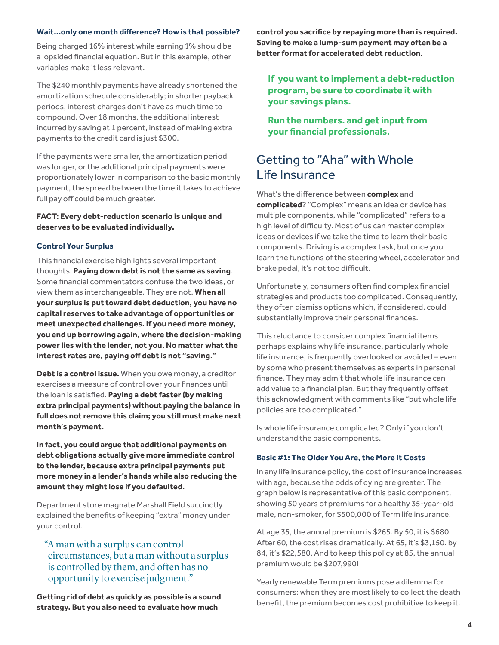#### **Wait…only one month difference? How is that possible?**

Being charged 16% interest while earning 1% should be a lopsided financial equation. But in this example, other variables make it less relevant.

The \$240 monthly payments have already shortened the amortization schedule considerably; in shorter payback periods, interest charges don't have as much time to compound. Over 18 months, the additional interest incurred by saving at 1 percent, instead of making extra payments to the credit card is just \$300.

If the payments were smaller, the amortization period was longer, or the additional principal payments were proportionately lower in comparison to the basic monthly payment, the spread between the time it takes to achieve full pay off could be much greater.

#### **FACT: Every debt-reduction scenario is unique and deserves to be evaluated individually.**

#### **Control Your Surplus**

This financial exercise highlights several important thoughts. **Paying down debt is not the same as saving**. Some financial commentators confuse the two ideas, or view them as interchangeable. They are not. **When all your surplus is put toward debt deduction, you have no capital reserves to take advantage of opportunities or meet unexpected challenges. If you need more money, you end up borrowing again, where the decision-making power lies with the lender, not you. No matter what the interest rates are, paying off debt is not "saving."**

**Debt is a control issue.** When you owe money, a creditor exercises a measure of control over your finances until the loan is satisfied. **Paying a debt faster (by making extra principal payments) without paying the balance in full does not remove this claim; you still must make next month's payment.**

**In fact, you could argue that additional payments on debt obligations actually give more immediate control to the lender, because extra principal payments put more money in a lender's hands while also reducing the amount they might lose if you defaulted.** 

Department store magnate Marshall Field succinctly explained the benefits of keeping "extra" money under your control.

### "A man with a surplus can control circumstances, but a man without a surplus is controlled by them, and often has no opportunity to exercise judgment."

**Getting rid of debt as quickly as possible is a sound strategy. But you also need to evaluate how much** 

**control you sacrifice by repaying more than is required. Saving to make a lump-sum payment may often be a better format for accelerated debt reduction.**

### **If you want to implement a debt-reduction program, be sure to coordinate it with your savings plans.**

**Run the numbers. and get input from your financial professionals.**

### Getting to "Aha" with Whole Life Insurance

What's the difference between **complex** and **complicated**? "Complex" means an idea or device has multiple components, while "complicated" refers to a high level of difficulty. Most of us can master complex ideas or devices if we take the time to learn their basic components. Driving is a complex task, but once you learn the functions of the steering wheel, accelerator and brake pedal, it's not too difficult.

Unfortunately, consumers often find complex financial strategies and products too complicated. Consequently, they often dismiss options which, if considered, could substantially improve their personal finances.

This reluctance to consider complex financial items perhaps explains why life insurance, particularly whole life insurance, is frequently overlooked or avoided – even by some who present themselves as experts in personal finance. They may admit that whole life insurance can add value to a financial plan. But they frequently offset this acknowledgment with comments like "but whole life policies are too complicated."

Is whole life insurance complicated? Only if you don't understand the basic components.

#### **Basic #1: The Older You Are, the More It Costs**

In any life insurance policy, the cost of insurance increases with age, because the odds of dying are greater. The graph below is representative of this basic component, showing 50 years of premiums for a healthy 35-year-old male, non-smoker, for \$500,000 of Term life insurance.

At age 35, the annual premium is \$265. By 50, it is \$680. After 60, the cost rises dramatically. At 65, it's \$3,150. by 84, it's \$22,580. And to keep this policy at 85, the annual premium would be \$207,990!

Yearly renewable Term premiums pose a dilemma for consumers: when they are most likely to collect the death benefit, the premium becomes cost prohibitive to keep it.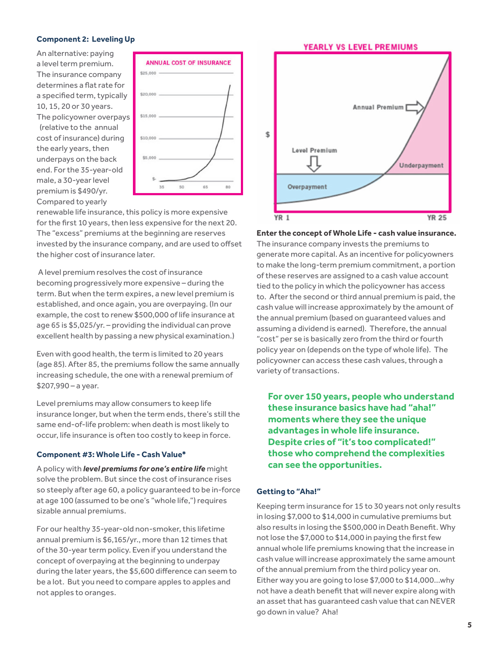#### **Component 2: Leveling Up**

An alternative: paying a level term premium. The insurance company determines a flat rate for a specified term, typically 10, 15, 20 or 30 years. The policyowner overpays (relative to the annual cost of insurance) during the early years, then underpays on the back end. For the 35-year-old male, a 30-year level premium is \$490/yr. Compared to yearly



renewable life insurance, this policy is more expensive for the first 10 years, then less expensive for the next 20. The "excess" premiums at the beginning are reserves invested by the insurance company, and are used to offset the higher cost of insurance later.

 A level premium resolves the cost of insurance becoming progressively more expensive – during the term. But when the term expires, a new level premium is established, and once again, you are overpaying. (In our example, the cost to renew \$500,000 of life insurance at age 65 is \$5,025/yr. – providing the individual can prove excellent health by passing a new physical examination.)

Even with good health, the term is limited to 20 years (age 85). After 85, the premiums follow the same annually increasing schedule, the one with a renewal premium of \$207,990 – a year.

Level premiums may allow consumers to keep life insurance longer, but when the term ends, there's still the same end-of-life problem: when death is most likely to occur, life insurance is often too costly to keep in force.

#### **Component #3: Whole Life - Cash Value\***

A policy with *level premiums for one's entire life* might solve the problem. But since the cost of insurance rises so steeply after age 60, a policy guaranteed to be in-force at age 100 (assumed to be one's "whole life,") requires sizable annual premiums.

For our healthy 35-year-old non-smoker, this lifetime annual premium is \$6,165/yr., more than 12 times that of the 30-year term policy. Even if you understand the concept of overpaying at the beginning to underpay during the later years, the \$5,600 difference can seem to be a lot. But you need to compare apples to apples and not apples to oranges.



**Enter the concept of Whole Life - cash value insurance.** 

The insurance company invests the premiums to generate more capital. As an incentive for policyowners to make the long-term premium commitment, a portion of these reserves are assigned to a cash value account tied to the policy in which the policyowner has access to. After the second or third annual premium is paid, the cash value will increase approximately by the amount of the annual premium (based on guaranteed values and assuming a dividend is earned). Therefore, the annual "cost" per se is basically zero from the third or fourth policy year on (depends on the type of whole life). The policyowner can access these cash values, through a variety of transactions.

**For over 150 years, people who understand these insurance basics have had "aha!" moments where they see the unique advantages in whole life insurance. Despite cries of "it's too complicated!" those who comprehend the complexities can see the opportunities.**

#### **Getting to "Aha!"**

Keeping term insurance for 15 to 30 years not only results in losing \$7,000 to \$14,000 in cumulative premiums but also results in losing the \$500,000 in Death Benefit. Why not lose the \$7,000 to \$14,000 in paying the first few annual whole life premiums knowing that the increase in cash value will increase approximately the same amount of the annual premium from the third policy year on. Either way you are going to lose \$7,000 to \$14,000…why not have a death benefit that will never expire along with an asset that has guaranteed cash value that can NEVER go down in value? Aha!